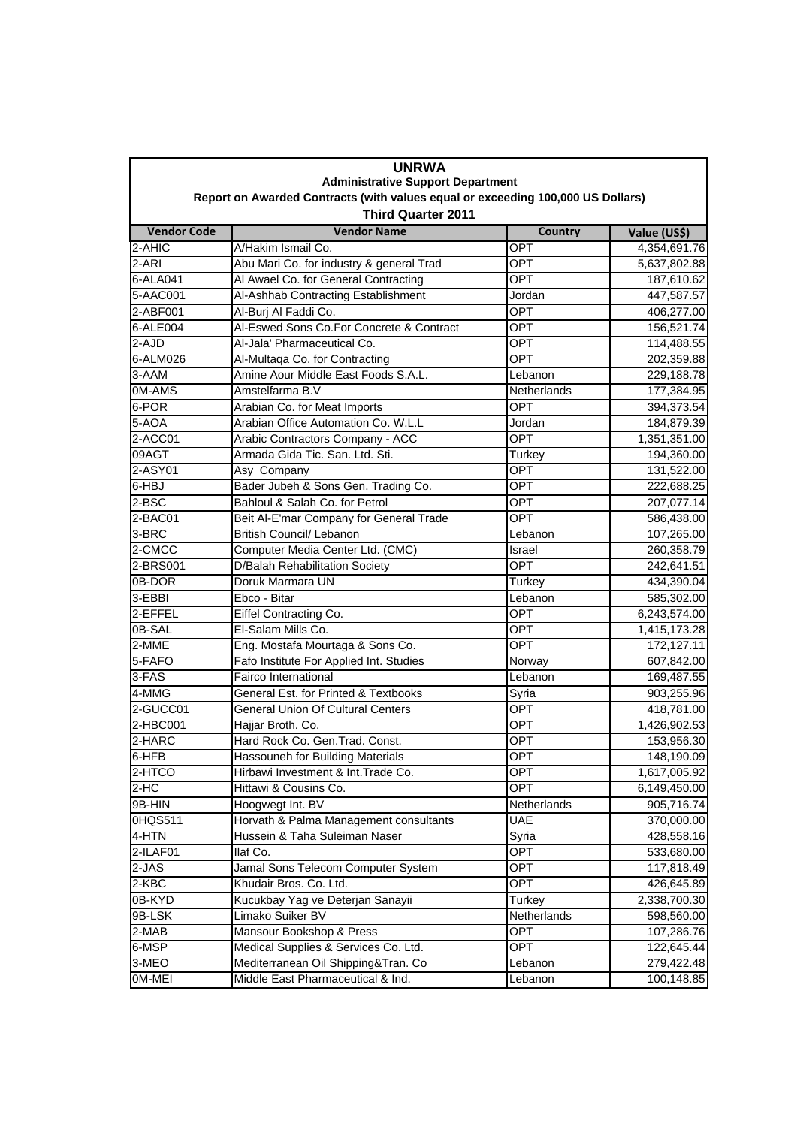| <b>UNRWA</b><br><b>Administrative Support Department</b>                                                     |                                          |             |              |  |                    |
|--------------------------------------------------------------------------------------------------------------|------------------------------------------|-------------|--------------|--|--------------------|
| Report on Awarded Contracts (with values equal or exceeding 100,000 US Dollars)<br><b>Third Quarter 2011</b> |                                          |             |              |  |                    |
|                                                                                                              |                                          |             |              |  | <b>Vendor Code</b> |
| 2-AHIC                                                                                                       | A/Hakim Ismail Co.                       | OPT         | 4,354,691.76 |  |                    |
| 2-ARI                                                                                                        | Abu Mari Co. for industry & general Trad | <b>OPT</b>  | 5,637,802.88 |  |                    |
| 6-ALA041                                                                                                     | Al Awael Co. for General Contracting     | OPT         | 187,610.62   |  |                    |
| 5-AAC001                                                                                                     | Al-Ashhab Contracting Establishment      | Jordan      | 447,587.57   |  |                    |
| 2-ABF001                                                                                                     | Al-Burj Al Faddi Co.                     | OPT         | 406,277.00   |  |                    |
| 6-ALE004                                                                                                     | Al-Eswed Sons Co.For Concrete & Contract | OPT         | 156,521.74   |  |                    |
| 2-AJD                                                                                                        | Al-Jala' Pharmaceutical Co.              | <b>OPT</b>  | 114,488.55   |  |                    |
| 6-ALM026                                                                                                     | Al-Multaga Co. for Contracting           | OPT         | 202,359.88   |  |                    |
| 3-AAM                                                                                                        | Amine Aour Middle East Foods S.A.L.      | Lebanon     | 229,188.78   |  |                    |
| 0M-AMS                                                                                                       | Amstelfarma B.V                          | Netherlands | 177,384.95   |  |                    |
| 6-POR                                                                                                        | Arabian Co. for Meat Imports             | <b>OPT</b>  | 394,373.54   |  |                    |
| 5-AOA                                                                                                        | Arabian Office Automation Co. W.L.L      | Jordan      | 184,879.39   |  |                    |
| 2-ACC01                                                                                                      | Arabic Contractors Company - ACC         | OPT         | 1,351,351.00 |  |                    |
| 09AGT                                                                                                        | Armada Gida Tic. San. Ltd. Sti.          | Turkey      | 194,360.00   |  |                    |
| 2-ASY01                                                                                                      | Asy Company                              | OPT         | 131,522.00   |  |                    |
| 6-HBJ                                                                                                        | Bader Jubeh & Sons Gen. Trading Co.      | <b>OPT</b>  | 222,688.25   |  |                    |
| 2-BSC                                                                                                        | Bahloul & Salah Co. for Petrol           | <b>OPT</b>  | 207,077.14   |  |                    |
| 2-BAC01                                                                                                      | Beit Al-E'mar Company for General Trade  | <b>OPT</b>  | 586,438.00   |  |                    |
| 3-BRC                                                                                                        | <b>British Council/ Lebanon</b>          | Lebanon     | 107,265.00   |  |                    |
| 2-CMCC                                                                                                       | Computer Media Center Ltd. (CMC)         | Israel      | 260,358.79   |  |                    |
| 2-BRS001                                                                                                     | <b>D/Balah Rehabilitation Society</b>    | OPT         | 242,641.51   |  |                    |
| 0B-DOR                                                                                                       | Doruk Marmara UN                         | Turkey      | 434,390.04   |  |                    |
| 3-EBBI                                                                                                       | Ebco - Bitar                             | Lebanon     | 585,302.00   |  |                    |
| 2-EFFEL                                                                                                      | Eiffel Contracting Co.                   | OPT         | 6,243,574.00 |  |                    |
| 0B-SAL                                                                                                       | El-Salam Mills Co.                       | OPT         | 1,415,173.28 |  |                    |
| 2-MME                                                                                                        | Eng. Mostafa Mourtaga & Sons Co.         | OPT         | 172,127.11   |  |                    |
| 5-FAFO                                                                                                       | Fafo Institute For Applied Int. Studies  | Norway      | 607,842.00   |  |                    |
| 3-FAS                                                                                                        | <b>Fairco International</b>              | Lebanon     | 169,487.55   |  |                    |
| 4-MMG                                                                                                        | General Est. for Printed & Textbooks     | Syria       | 903,255.96   |  |                    |
| 2-GUCC01                                                                                                     | General Union Of Cultural Centers        | <b>OPT</b>  | 418,781.00   |  |                    |
| 2-HBC001                                                                                                     | Hajjar Broth. Co.                        | <b>OPT</b>  | 1,426,902.53 |  |                    |
| 2-HARC                                                                                                       | Hard Rock Co. Gen. Trad. Const.          | OPT         | 153,956.30   |  |                    |
| 6-HFB                                                                                                        | Hassouneh for Building Materials         | <b>OPT</b>  | 148,190.09   |  |                    |
| 2-HTCO                                                                                                       | Hirbawi Investment & Int. Trade Co.      | <b>OPT</b>  | 1,617,005.92 |  |                    |
| $2-HC$                                                                                                       | Hittawi & Cousins Co.                    | OPT         | 6,149,450.00 |  |                    |
| 9B-HIN                                                                                                       | Hoogwegt Int. BV                         | Netherlands | 905,716.74   |  |                    |
| 0HQS511                                                                                                      | Horvath & Palma Management consultants   | UAE         | 370,000.00   |  |                    |
| 4-HTN                                                                                                        | Hussein & Taha Suleiman Naser            | Syria       | 428,558.16   |  |                    |
| 2-ILAF01                                                                                                     | llaf Co.                                 | OPT         | 533,680.00   |  |                    |
| 2-JAS                                                                                                        | Jamal Sons Telecom Computer System       | OPT         | 117,818.49   |  |                    |
| 2-KBC                                                                                                        | Khudair Bros. Co. Ltd.                   | OPT         | 426,645.89   |  |                    |
| 0B-KYD                                                                                                       | Kucukbay Yag ve Deterjan Sanayii         | Turkey      | 2,338,700.30 |  |                    |
| 9B-LSK                                                                                                       | Limako Suiker BV                         | Netherlands | 598,560.00   |  |                    |
| $2-MAB$                                                                                                      | Mansour Bookshop & Press                 | <b>OPT</b>  | 107,286.76   |  |                    |
| 6-MSP                                                                                                        | Medical Supplies & Services Co. Ltd.     | <b>OPT</b>  | 122,645.44   |  |                    |
| 3-MEO                                                                                                        | Mediterranean Oil Shipping&Tran. Co      | Lebanon     | 279,422.48   |  |                    |
| 0M-MEI                                                                                                       | Middle East Pharmaceutical & Ind.        | Lebanon     | 100,148.85   |  |                    |